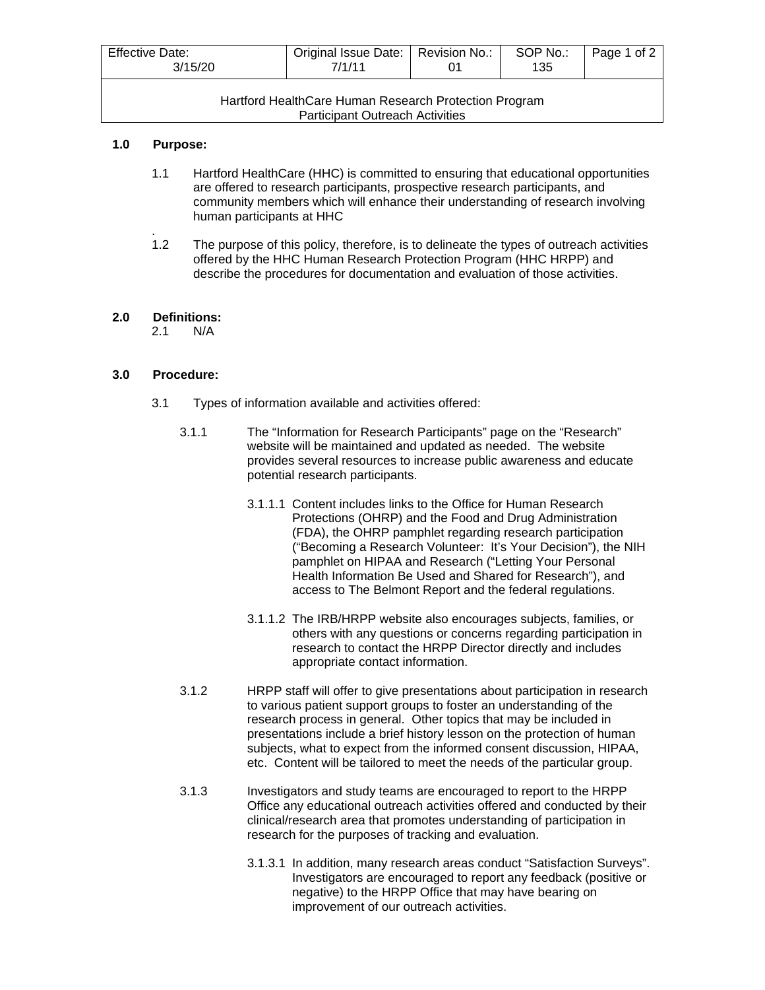| <b>Effective Date:</b><br>3/15/20                     | Original Issue Date:   Revision No.:<br>7/1/11 |  | SOP No.:<br>135 | Page 1 of 2 |  |  |  |
|-------------------------------------------------------|------------------------------------------------|--|-----------------|-------------|--|--|--|
| Hartford HealthCare Human Research Protection Program |                                                |  |                 |             |  |  |  |

Participant Outreach Activities

#### **1.0 Purpose:**

- 1.1 Hartford HealthCare (HHC) is committed to ensuring that educational opportunities are offered to research participants, prospective research participants, and community members which will enhance their understanding of research involving human participants at HHC
- . 1.2 The purpose of this policy, therefore, is to delineate the types of outreach activities offered by the HHC Human Research Protection Program (HHC HRPP) and describe the procedures for documentation and evaluation of those activities.

# **2.0 Definitions:**

 $N/A$ 

### **3.0 Procedure:**

- 3.1 Types of information available and activities offered:
	- 3.1.1 The "Information for Research Participants" page on the "Research" website will be maintained and updated as needed. The website provides several resources to increase public awareness and educate potential research participants.
		- 3.1.1.1 Content includes links to the Office for Human Research Protections (OHRP) and the Food and Drug Administration (FDA), the OHRP pamphlet regarding research participation ("Becoming a Research Volunteer: It's Your Decision"), the NIH pamphlet on HIPAA and Research ("Letting Your Personal Health Information Be Used and Shared for Research"), and access to The Belmont Report and the federal regulations.
		- 3.1.1.2 The IRB/HRPP website also encourages subjects, families, or others with any questions or concerns regarding participation in research to contact the HRPP Director directly and includes appropriate contact information.
	- 3.1.2 HRPP staff will offer to give presentations about participation in research to various patient support groups to foster an understanding of the research process in general. Other topics that may be included in presentations include a brief history lesson on the protection of human subjects, what to expect from the informed consent discussion, HIPAA, etc. Content will be tailored to meet the needs of the particular group.
	- 3.1.3 Investigators and study teams are encouraged to report to the HRPP Office any educational outreach activities offered and conducted by their clinical/research area that promotes understanding of participation in research for the purposes of tracking and evaluation.
		- 3.1.3.1 In addition, many research areas conduct "Satisfaction Surveys". Investigators are encouraged to report any feedback (positive or negative) to the HRPP Office that may have bearing on improvement of our outreach activities.